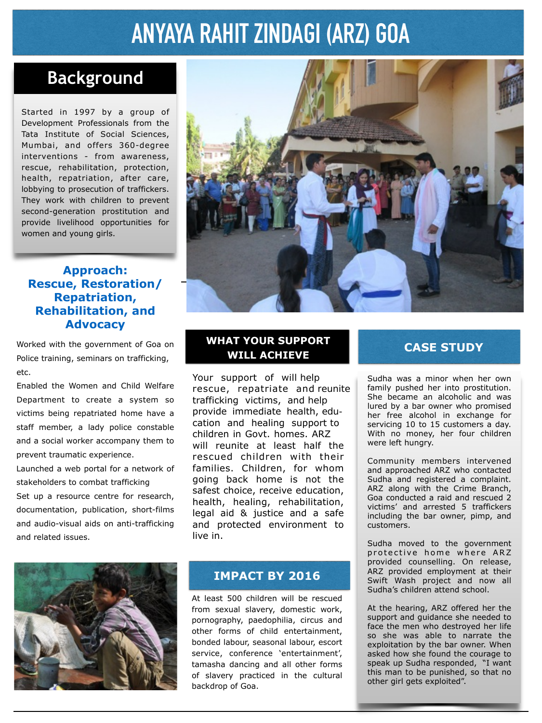## **ANYAYA RAHIT ZINDAGI (ARZ) GOA**

## **Background**

Started in 1997 by a group of Development Professionals from the Tata Institute of Social Sciences, Mumbai, and offers 360-degree interventions - from awareness, rescue, rehabilitation, protection, health, repatriation, after care, lobbying to prosecution of traffickers. They work with children to prevent second-generation prostitution and provide livelihood opportunities for women and young girls.

#### **Approach: Rescue, Restoration/ Repatriation, Rehabilitation, and Advocacy**

Worked with the government of Goa on Police training, seminars on trafficking, etc.

Enabled the Women and Child Welfare Department to create a system so victims being repatriated home have a staff member, a lady police constable and a social worker accompany them to prevent traumatic experience.

Launched a web portal for a network of stakeholders to combat trafficking Set up a resource centre for research, documentation, publication, short-films and audio-visual aids on anti-trafficking and related issues.



#### **WHAT YOUR SUPPORT WILL ACHIEVE**

Your support of will help rescue, repatriate and reunite trafficking victims, and help provide immediate health, education and healing support to children in Govt. homes. ARZ will reunite at least half the rescued children with their families. Children, for whom going back home is not the safest choice, receive education, health, healing, rehabilitation, legal aid & justice and a safe and protected environment to live in.



#### **IMPACT BY 2016**

At least 500 children will be rescued from sexual slavery, domestic work, pornography, paedophilia, circus and other forms of child entertainment, bonded labour, seasonal labour, escort service, conference 'entertainment', tamasha dancing and all other forms of slavery practiced in the cultural backdrop of Goa.

#### **CASE STUDY**

Sudha was a minor when her own family pushed her into prostitution. She became an alcoholic and was lured by a bar owner who promised her free alcohol in exchange for servicing 10 to 15 customers a day. With no money, her four children were left hungry.

Community members intervened and approached ARZ who contacted Sudha and registered a complaint. ARZ along with the Crime Branch, Goa conducted a raid and rescued 2 victims' and arrested 5 traffickers including the bar owner, pimp, and customers.

Sudha moved to the government protective home where ARZ provided counselling. On release, ARZ provided employment at their Swift Wash project and now all Sudha's children attend school.

At the hearing, ARZ offered her the support and guidance she needed to face the men who destroyed her life so she was able to narrate the exploitation by the bar owner. When asked how she found the courage to speak up Sudha responded, "I want this man to be punished, so that no other girl gets exploited".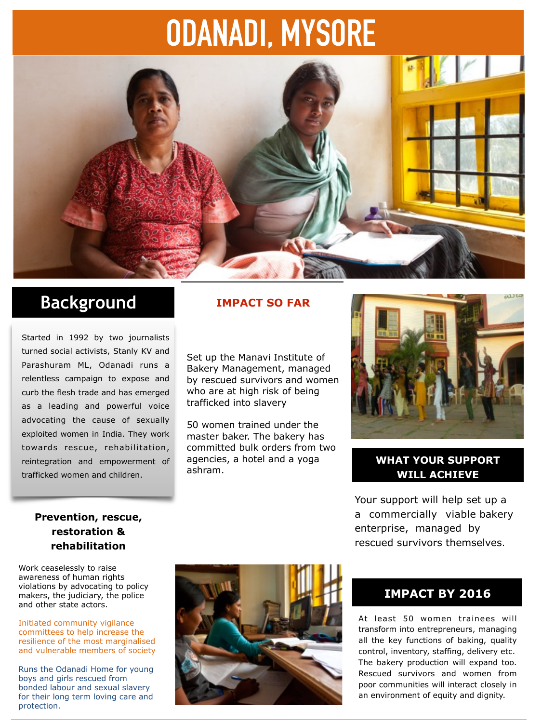## **ODANADI, MYSORE**



## **Background**

Started in 1992 by two journalists turned social activists, Stanly KV and Parashuram ML, Odanadi runs a relentless campaign to expose and curb the flesh trade and has emerged as a leading and powerful voice advocating the cause of sexually exploited women in India. They work towards rescue, rehabilitation, reintegration and empowerment of trafficked women and children.

#### **IMPACT SO FAR**

Set up the Manavi Institute of Bakery Management, managed by rescued survivors and women who are at high risk of being trafficked into slavery

50 women trained under the master baker. The bakery has committed bulk orders from two agencies, a hotel and a yoga ashram.



#### **WHAT YOUR SUPPORT WILL ACHIEVE**

Your support will help set up a a commercially viable bakery enterprise, managed by rescued survivors themselves.

#### **Prevention, rescue, restoration & rehabilitation**

Work ceaselessly to raise awareness of human rights violations by advocating to policy makers, the judiciary, the police and other state actors.

Initiated community vigilance committees to help increase the resilience of the most marginalised and vulnerable members of society

Runs the Odanadi Home for young boys and girls rescued from bonded labour and sexual slavery for their long term loving care and protection.



#### **IMPACT BY 2016**

At least 50 women trainees will transform into entrepreneurs, managing all the key functions of baking, quality control, inventory, staffing, delivery etc. The bakery production will expand too. Rescued survivors and women from poor communities will interact closely in an environment of equity and dignity.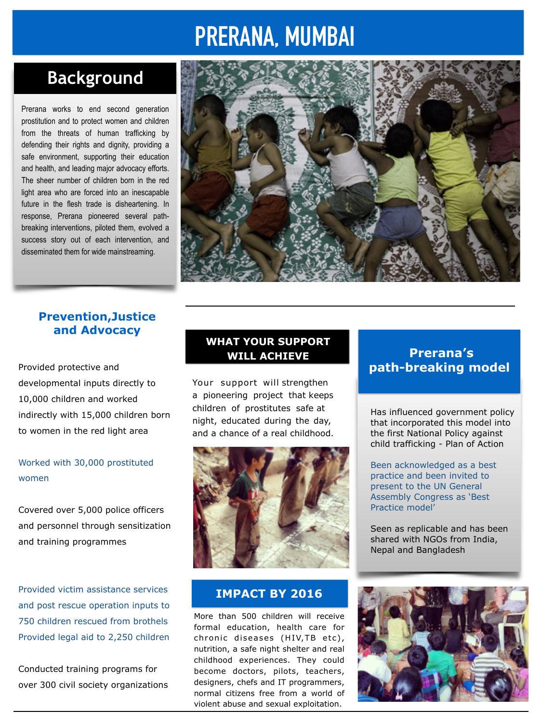## **PRERANA, MUMBAI**

## **Background**

Prerana works to end second generation prostitution and to protect women and children from the threats of human trafficking by defending their rights and dignity, providing a safe environment, supporting their education and health, and leading major advocacy efforts. The sheer number of children born in the red light area who are forced into an inescapable future in the flesh trade is disheartening. In response, Prerana pioneered several pathbreaking interventions, piloted them, evolved a success story out of each intervention, and disseminated them for wide mainstreaming.



#### **Prevention,Justice and Advocacy**

Provided protective and developmental inputs directly to 10,000 children and worked indirectly with 15,000 children born to women in the red light area

#### Worked with 30,000 prostituted women

Covered over 5,000 police officers and personnel through sensitization and training programmes

Provided victim assistance services and post rescue operation inputs to 750 children rescued from brothels Provided legal aid to 2,250 children

Conducted training programs for over 300 civil society organizations

#### **WHAT YOUR SUPPORT WILL ACHIEVE**

Your support will strengthen a pioneering project that keeps children of prostitutes safe at night, educated during the day, and a chance of a real childhood.



#### **IMPACT BY 2016**

More than 500 children will receive formal education, health care for chronic diseases (HIV, TB etc), nutrition, a safe night shelter and real childhood experiences. They could become doctors, pilots, teachers, designers, chefs and IT programmers, normal citizens free from a world of violent abuse and sexual exploitation.

#### **Prerana's path-breaking model**

Has influenced government policy that incorporated this model into the first National Policy against child trafficking - Plan of Action

Been acknowledged as a best practice and been invited to present to the UN General Assembly Congress as 'Best Practice model'

Seen as replicable and has been shared with NGOs from India, Nepal and Bangladesh